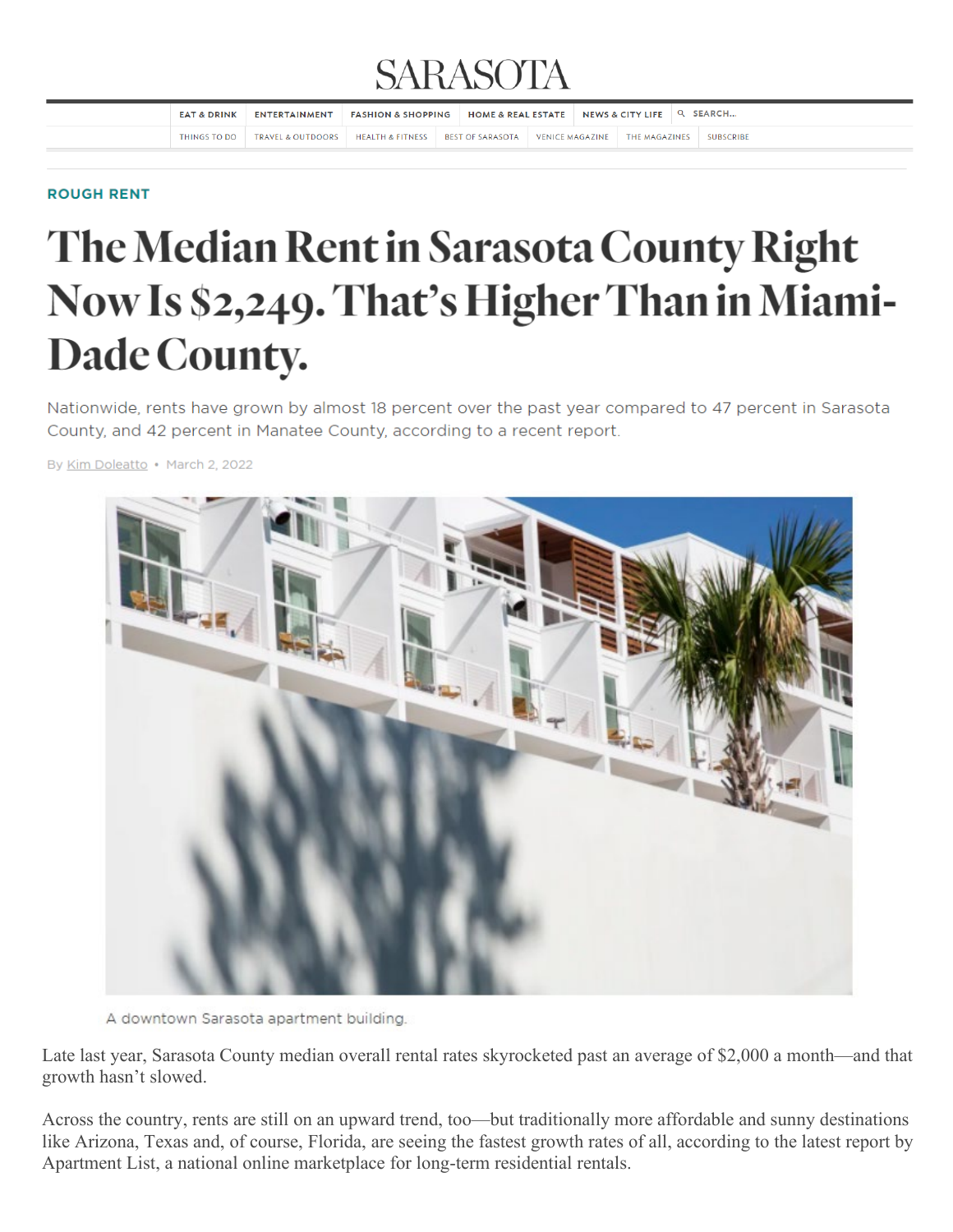## **SARASOTA**

| <b>EAT &amp; DRINK</b> | ENTERTAINMENT                                           | <b>FASHION &amp; SHOPPING</b> | HOME & REAL ESTATE   NEWS & CITY LIFE   Q SEARCH |  |                               |                  |
|------------------------|---------------------------------------------------------|-------------------------------|--------------------------------------------------|--|-------------------------------|------------------|
| THINGS TO DO           | TRAVEL & OUTDOORS   HEALTH & FITNESS   BEST OF SARASOTA |                               |                                                  |  | VENICE MAGAZINE THE MAGAZINES | <b>SUBSCRIBE</b> |

## **ROUGH RENT**

## The Median Rent in Sarasota County Right Now Is \$2,249. That's Higher Than in Miami-Dade County.

Nationwide, rents have grown by almost 18 percent over the past year compared to 47 percent in Sarasota County, and 42 percent in Manatee County, according to a recent report.

By Kim Doleatto • March 2, 2022



A downtown Sarasota apartment building.

Late last year, Sarasota County median overall rental rates skyrocketed past an average of \$2,000 a month—and that growth hasn't slowed.

Across the country, rents are still on an upward trend, too—but traditionally more affordable and sunny destinations like Arizona, Texas and, of course, Florida, are seeing the fastest growth rates of all, according to the latest report by Apartment List, a national online marketplace for long-term residential rentals.